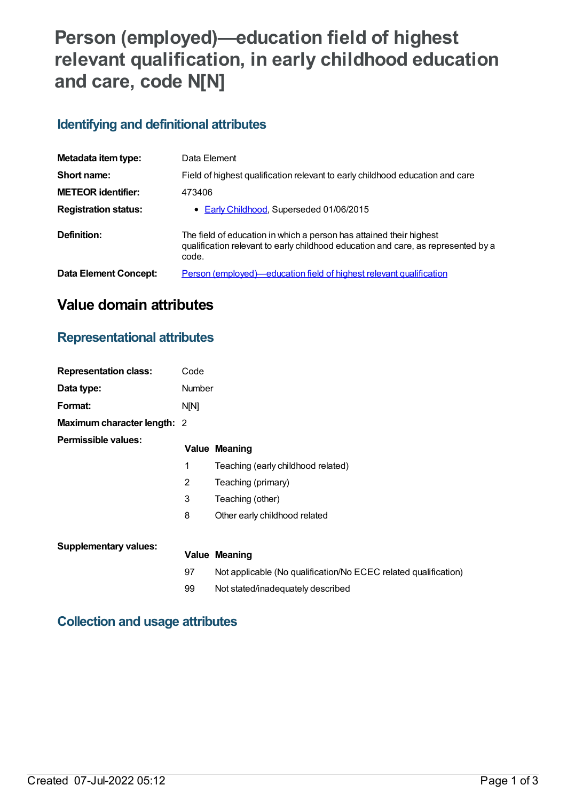# **Person (employed)—education field of highest relevant qualification, in early childhood education and care, code N[N]**

#### **Identifying and definitional attributes**

| Metadata item type:         | Data Element                                                                                                                                                      |
|-----------------------------|-------------------------------------------------------------------------------------------------------------------------------------------------------------------|
| Short name:                 | Field of highest qualification relevant to early childhood education and care                                                                                     |
| <b>METEOR identifier:</b>   | 473406                                                                                                                                                            |
| <b>Registration status:</b> | • Early Childhood, Superseded 01/06/2015                                                                                                                          |
| Definition:                 | The field of education in which a person has attained their highest<br>qualification relevant to early childhood education and care, as represented by a<br>code. |
| Data Element Concept:       | <u>Person (employed)—education field of highest relevant qualification</u>                                                                                        |

## **Value domain attributes**

#### **Representational attributes**

| <b>Representation class:</b>     | Code   |                                                                 |
|----------------------------------|--------|-----------------------------------------------------------------|
| Data type:                       | Number |                                                                 |
| Format:                          | N[N]   |                                                                 |
| Maximum character length: 2      |        |                                                                 |
| Permissible values:              |        | <b>Value Meaning</b>                                            |
|                                  | 1      | Teaching (early childhood related)                              |
|                                  | 2      | Teaching (primary)                                              |
|                                  | 3      | Teaching (other)                                                |
|                                  | 8      | Other early childhood related                                   |
| <b>Supplementary values:</b>     |        |                                                                 |
|                                  |        | <b>Value Meaning</b>                                            |
|                                  | 97     | Not applicable (No qualification/No ECEC related qualification) |
|                                  | 99     | Not stated/inadequately described                               |
| Callentiam and usesse ethnikutes |        |                                                                 |

#### **Collection and usage attributes**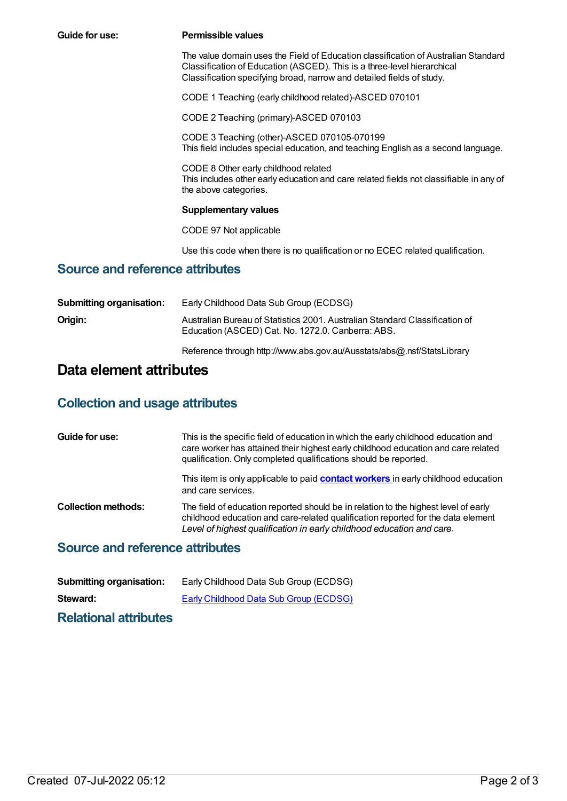| Guide for use:                         | <b>Permissible values</b>                                                                                                                                                                                                              |
|----------------------------------------|----------------------------------------------------------------------------------------------------------------------------------------------------------------------------------------------------------------------------------------|
|                                        | The value domain uses the Field of Education classification of Australian Standard<br>Classification of Education (ASCED). This is a three-level hierarchical<br>Classification specifying broad, narrow and detailed fields of study. |
|                                        | CODE 1 Teaching (early childhood related)-ASCED 070101                                                                                                                                                                                 |
|                                        | CODE 2 Teaching (primary)-ASCED 070103                                                                                                                                                                                                 |
|                                        | CODE 3 Teaching (other)-ASCED 070105-070199<br>This field includes special education, and teaching English as a second language.                                                                                                       |
|                                        | CODE 8 Other early childhood related<br>This includes other early education and care related fields not classifiable in any of<br>the above categories.                                                                                |
|                                        | <b>Supplementary values</b>                                                                                                                                                                                                            |
|                                        | CODE 97 Not applicable                                                                                                                                                                                                                 |
|                                        | Use this code when there is no qualification or no ECEC related qualification.                                                                                                                                                         |
| <b>Source and reference attributes</b> |                                                                                                                                                                                                                                        |
| <b>Submitting organisation:</b>        | Early Childhood Data Sub Group (ECDSG)                                                                                                                                                                                                 |

| Subfilitung organisation. | Early Childhood Data Sub Group (ECDSG)                                                                                           |
|---------------------------|----------------------------------------------------------------------------------------------------------------------------------|
| Origin:                   | Australian Bureau of Statistics 2001. Australian Standard Classification of<br>Education (ASCED) Cat. No. 1272.0. Canberra: ABS. |
|                           |                                                                                                                                  |

Reference through http://www.abs.gov.au/Ausstats/abs@.nsf/StatsLibrary

## **Data element attributes**

### **Collection and usage attributes**

| Guide for use:             | This is the specific field of education in which the early childhood education and<br>care worker has attained their highest early childhood education and care related<br>qualification. Only completed qualifications should be reported.      |
|----------------------------|--------------------------------------------------------------------------------------------------------------------------------------------------------------------------------------------------------------------------------------------------|
|                            | This item is only applicable to paid <b>contact workers</b> in early childhood education<br>and care services.                                                                                                                                   |
| <b>Collection methods:</b> | The field of education reported should be in relation to the highest level of early<br>childhood education and care-related qualification reported for the data element<br>Level of highest qualification in early childhood education and care. |

### **Source and reference attributes**

| <b>Submitting organisation:</b> | Early Childhood Data Sub Group (ECDSG) |
|---------------------------------|----------------------------------------|
| Steward:                        | Early Childhood Data Sub Group (ECDSG) |
|                                 |                                        |

**Relational attributes**